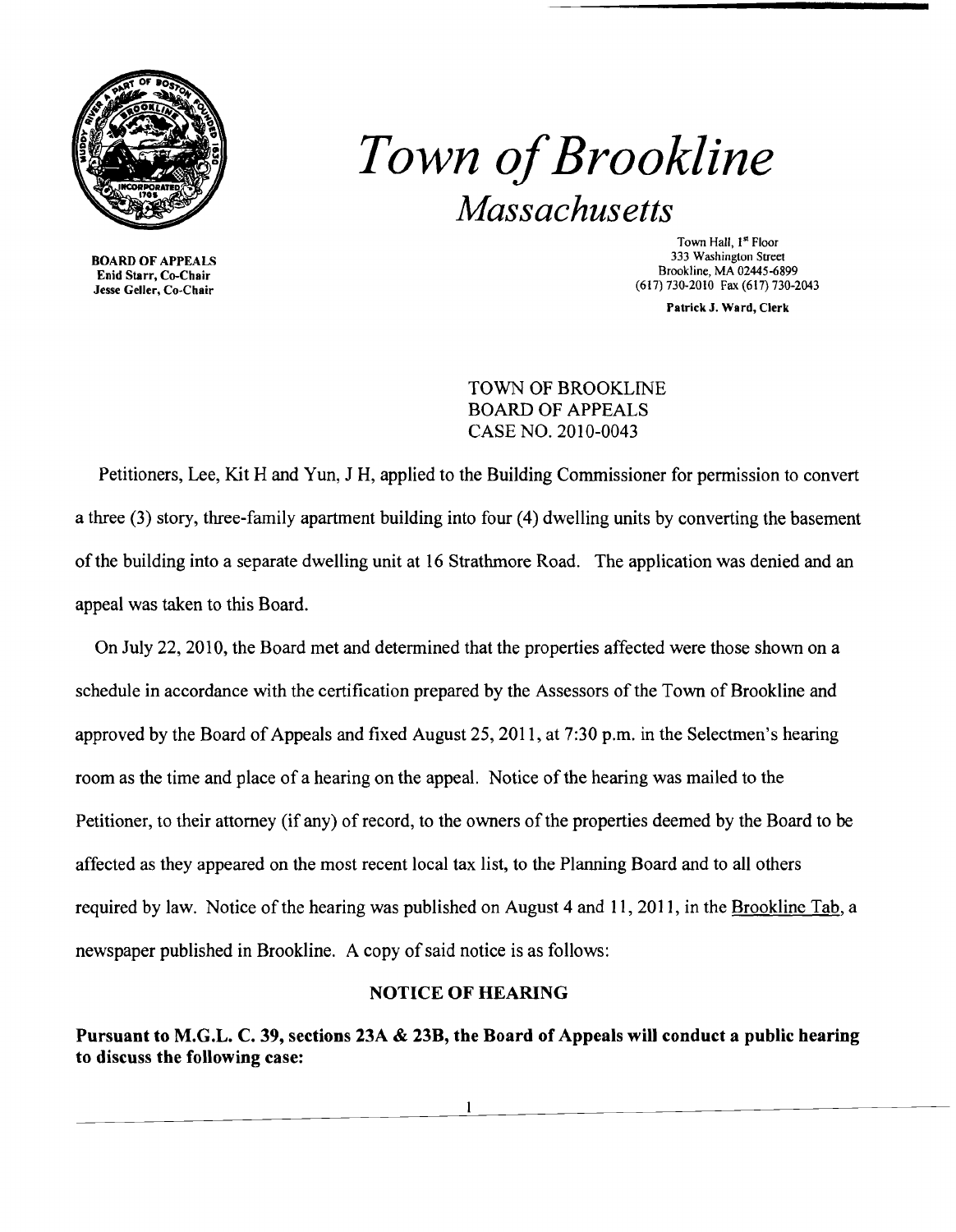

BOARD OF APPEALS Enid Starr, Co-Chair Jesse Geller, Co-Chair

*Town ofBrookline Massachusetts* 

> Town Hall, 1<sup>st</sup> Floor 333 Washington Street Brookline, MA 02445-6899 (617) 730-2010 Fax (617)730-2043

> > Patrick J. Ward, Clerk

TOWN OF BROOKLINE BOARD OF APPEALS CASE NO. 2010-0043

Petitioners, Lee, Kit Hand Yun, J H, applied to the Building Commissioner for permission to convert a three (3) story, three-family apartment building into four (4) dwelling units by converting the basement of the building into a separate dwelling unit at 16 Strathmore Road. The application was denied and an appeal was taken to this Board.

On July 22, 2010, the Board met and determined that the properties affected were those shown on a schedule in accordance with the certification prepared by the Assessors of the Town of Brookline and approved by the Board of Appeals and fixed August 25, 2011, at  $7:30$  p.m. in the Selectmen's hearing room as the time and place of a hearing on the appeal. Notice of the hearing was mailed to the Petitioner, to their attorney (if any) of record, to the owners of the properties deemed by the Board to be affected as they appeared on the most recent local tax list, to the Planning Board and to all others required by law. Notice of the hearing was published on August 4 and 11,2011, in the Brookline Tab, a newspaper published in Brookline. A copy of said notice is as follows:

## NOTICE OF HEARING

Pursuant to M.G.L. C. 39, sections 23A & 23B, the Board of Appeals will conduct a public hearing to discuss the following case: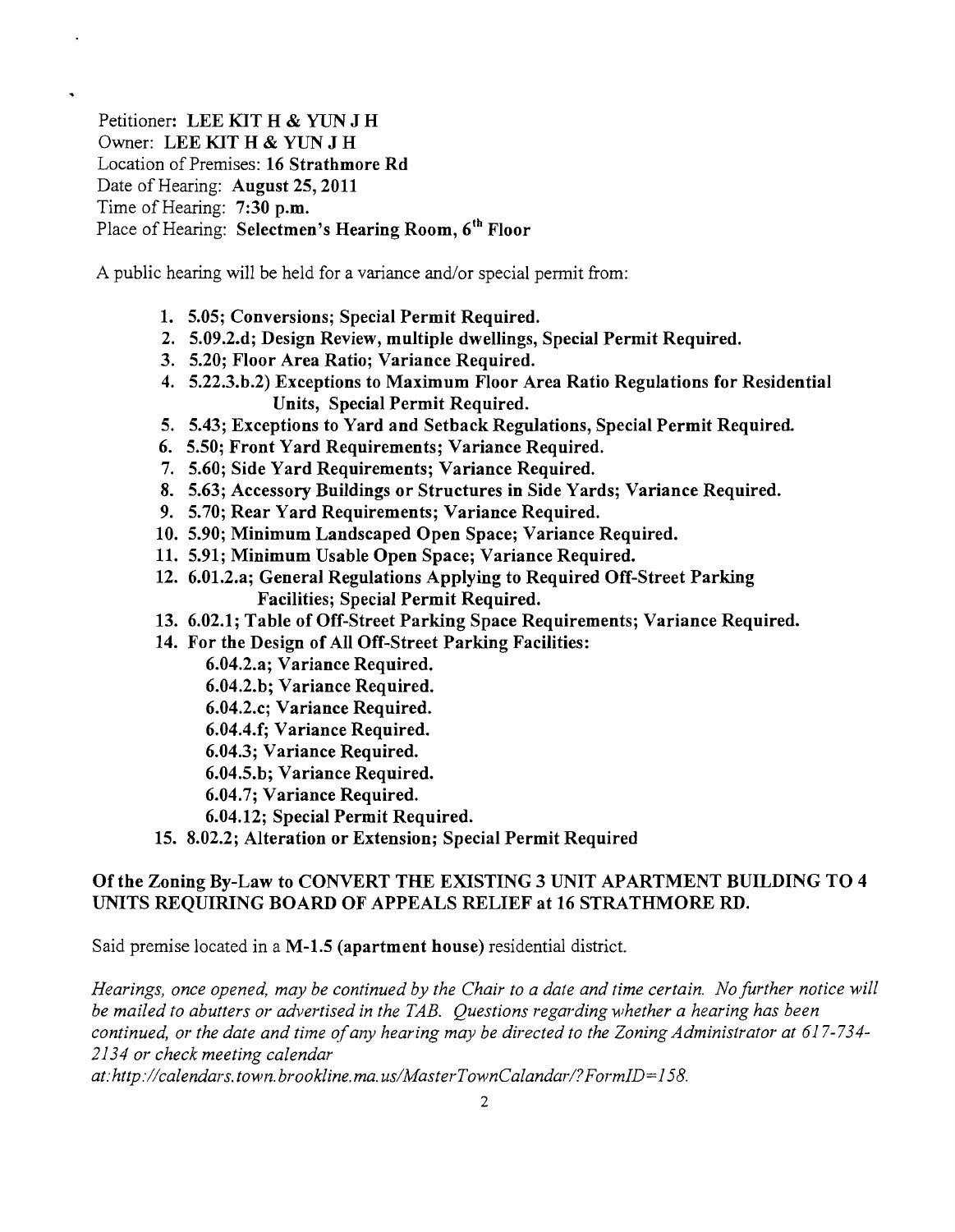Petitioner: LEE KIT H & YUN J H Owner: LEE KIT H & YUN J H Location of Premises: 16 Strathmore Rd Date of Hearing: August 25, 2011 Time of Hearing: 7:30 p.m. Place of Hearing: Selectmen's Hearing Room, 6<sup>th</sup> Floor

A public hearing will be held for a variance and/or special permit from:

- 1. 5.05; Conversions; Special Permit Required.
- 2. 5.09.2.d; Design Review, multiple dwellings, Special Permit Required.
- 3. 5.20; Floor Area Ratio; Variance Required.
- 4. 5.22.3.b.2) Exceptions to Maximum Floor Area Ratio Regulations for Residential Units, Special Permit Required.
- 5. 5.43; Exceptions to Yard and Setback Regulations, Special Permit Required
- 6. 5.50; Front Yard Requirements; Variance Required.
- 7. 5.60; Side Yard Requirements; Variance Required.
- 8. 5.63; Accessory Buildings or Structures in Side Yards; Variance Required.
- 9. 5.70; Rear Yard Requirements; Variance Required.
- 10. 5.90; Minimum Landscaped Open Space; Variance Required.
- 11. 5.91; Minimum Usable Open Space; Variance Required.
- 12. 6.01.2.a; General Regulations Applying to Required Off-Street Parking Facilities; Special Permit Required.
- 13. 6.02.1; Table of Off-Street Parking Space Requirements; Variance Required.
- 14. For the Design of All Off-Street Parking Facilities:
	- 6.04.2.a; Variance Required.
	- 6.04.2.b; Variance Required.
	- 6.04.2.c; Variance Required.
	- 6.04.4.f; Variance Required.
	- 6.04.3; Variance Required.
	- 6.04.5.b; Variance Required.
	- 6.04.7; Variance Required.
	- 6.04.12; Special Permit Required.
- 15. 8.02.2; Alteration or Extension; Special Permit Required

# Of the Zoning By-Law to CONVERT THE EXISTING 3 UNIT APARTMENT BUILDING TO 4 UNITS REQUIRING BOARD OF APPEALS RELIEF at 16 STRATHMORE RD.

Said premise located in a M-1.5 (apartment house) residential district.

*Hearings, once opened, may be continued by the Chair to a date and time certain. No further notice will be mailed to abutters or advertised in the TAB. Questions regarding whether a hearing has been continued, or the date and time ofany hearing may be directed to the Zoning Administrator at 617-734 2134 or check meeting calendar* 

*at:http://calendars.town.brookline.ma.usIMasterTownCalandar!?FormID=158.*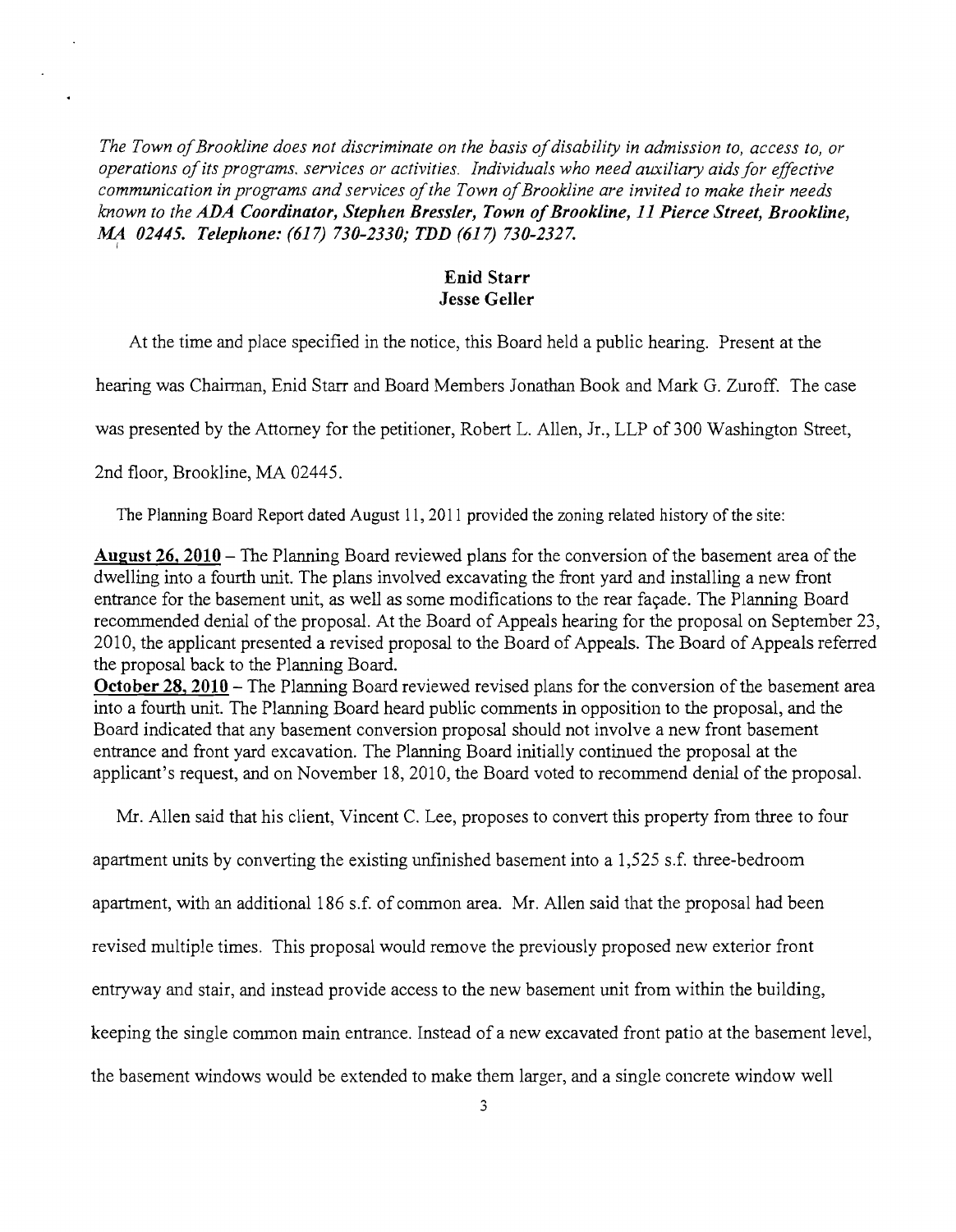I *The Town ofBrookline does not discriminate on the basis ofdisability in admission to, access to, or operations ofits programs. services or activities. Individuals who need auxiliary aids for effective communication in programs and services ofthe Town ofBrookline are invited to make their needs known to the ADA Coordinator, Stephen Bressler, Town ofBrookline,* 11 *Pierce Street, Brookline, MA 02445. Telephone:* (617) *730-2330; TDD* (617) *730-2327.* 

### Enid Starr Jesse Geller

At the time and *place* specified in the notice, this Board held a public hearing. Present at the

hearing was Chairman, Enid Starr and Board Members Jonathan Book and Mark G. Zuroff. The case

was presented by the Attorney for the petitioner, Robert L. Allen, Jr., LLP of 300 Washington Street,

2nd floor, *Brookline,* MA 02445.

The Planning Board Report dated August 11, 2011 provided the zoning related history of the site:

August 26, 2010 - The Planning Board reviewed plans for the conversion of the basement area of the dwelling into a fourth unit. The plans involved excavating the front yard and installing a new front entrance for the basement unit, as well as some modifications to the rear fayade. The Planning Board recommended denial of the proposal. At the Board of Appeals hearing for the proposal on September 23, 2010, the applicant presented a revised proposal to the Board of Appeals. The Board of Appeals referred the proposal back to the Planning Board.

October 28, 2010 – The Planning Board reviewed revised plans for the conversion of the basement area into a fourth unit. The Planning Board heard public comments in opposition to the proposal, and the Board indicated that any basement conversion proposal should not involve a new front basement entrance and front yard excavation. The Planning Board initially continued the proposal at the applicant's request, and on November 18, 2010, the Board voted to recommend denial of the proposal.

Mr. Allen said that his client, Vincent C. Lee, proposes to convert this property from three to four

apartment units by converting the existing unfinished basement into a  $1,525$  s.f. three-bedroom

apartment, with an additional 186 s.f. of common area. Mr. Allen said that the proposal had been

revised multiple times. This proposal would remove the previously proposed new exterior front

entryway and stair, and instead provide access to the new basement unit from within the building,

keeping the single common main entrance. Instead of a new excavated front patio at the basement level,

the basement windows would be extended to make them larger, and a single concrete window well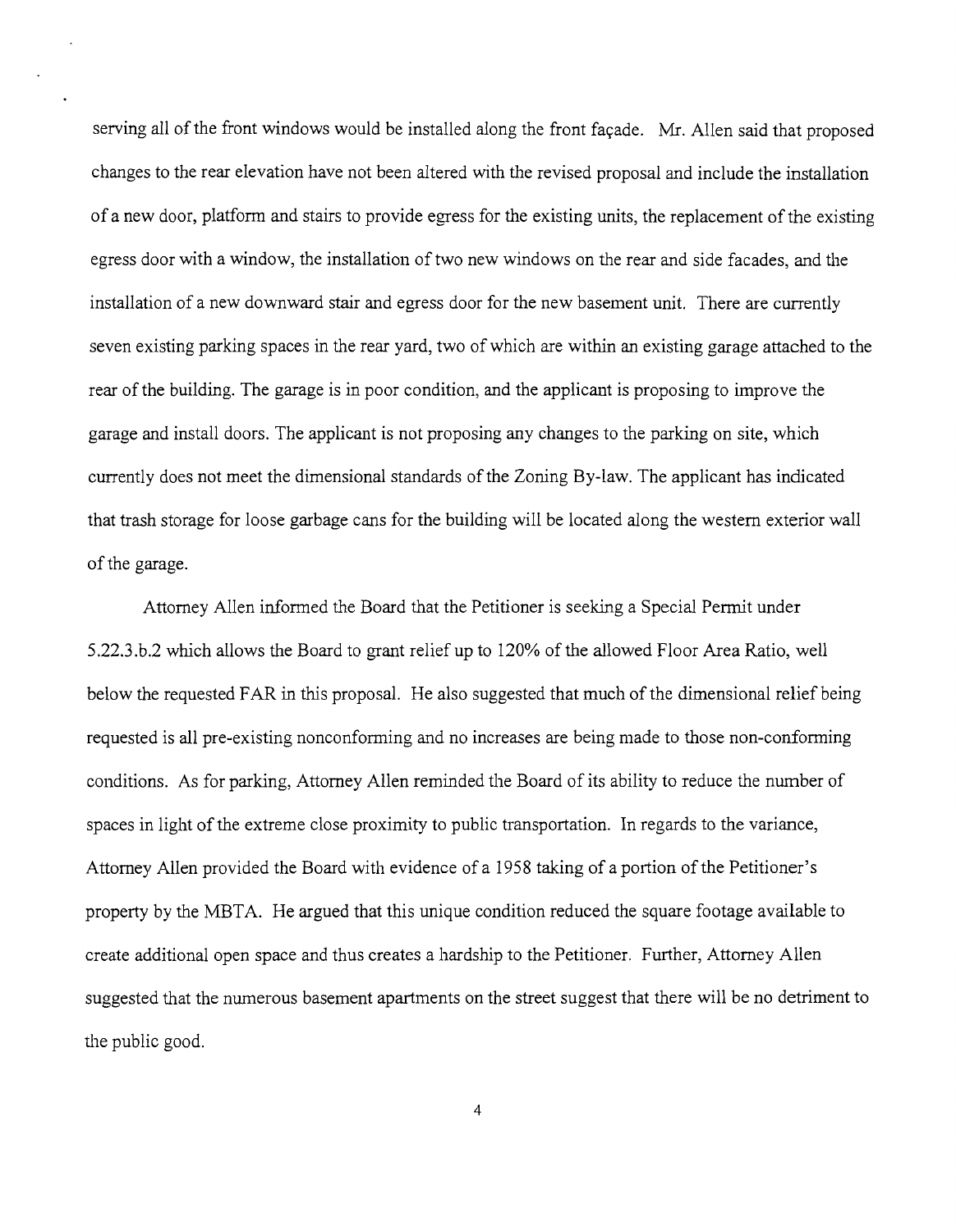serving all of the front windows would be installed along the front façade. Mr. Allen said that proposed changes to the rear elevation have not been altered with the revised proposal and include the installation of a new door, platfonn and stairs to provide egress for the existing units, the replacement of the existing egress door with a window, the installation of two new windows on the rear and side facades, and the installation of a new downward stair and egress door for the new basement unit. There are currently seven existing parking spaces in the rear yard, two of which are within an existing garage attached to the rear of the building. The garage is in poor condition, and the applicant is proposing to improve the garage and install doors. The applicant is not proposing any changes to the parking on site, which currently does not meet the dimensional standards of the Zoning By-law. The applicant has indicated that trash storage for loose garbage cans for the building will be located along the western exterior wall of the garage.

Attorney Allen informed the Board that the Petitioner is seeking a Special Permit under 5.22.3.b.2 which allows the Board to grant relief up to 120% of the allowed Floor Area Ratio, well below the requested FAR in this proposal. He also suggested that much of the dimensional relief being requested is all pre-existing nonconforming and no increases are being made to those non-conforming conditions. As for parking, Attorney Allen reminded the Board of its ability to reduce the number of spaces in light of the extreme close proximity to public transportation. In regards to the variance, Attorney Allen provided the Board with evidence ofa 1958 taking of a portion ofthe Petitioner's property by the MBTA. He argued that this unique condition reduced the square footage available to create additional open space and thus creates a hardship to the Petitioner. Further, Attorney Allen suggested that the numerous basement apartments on the street suggest that there will be no detriment to the public good.

4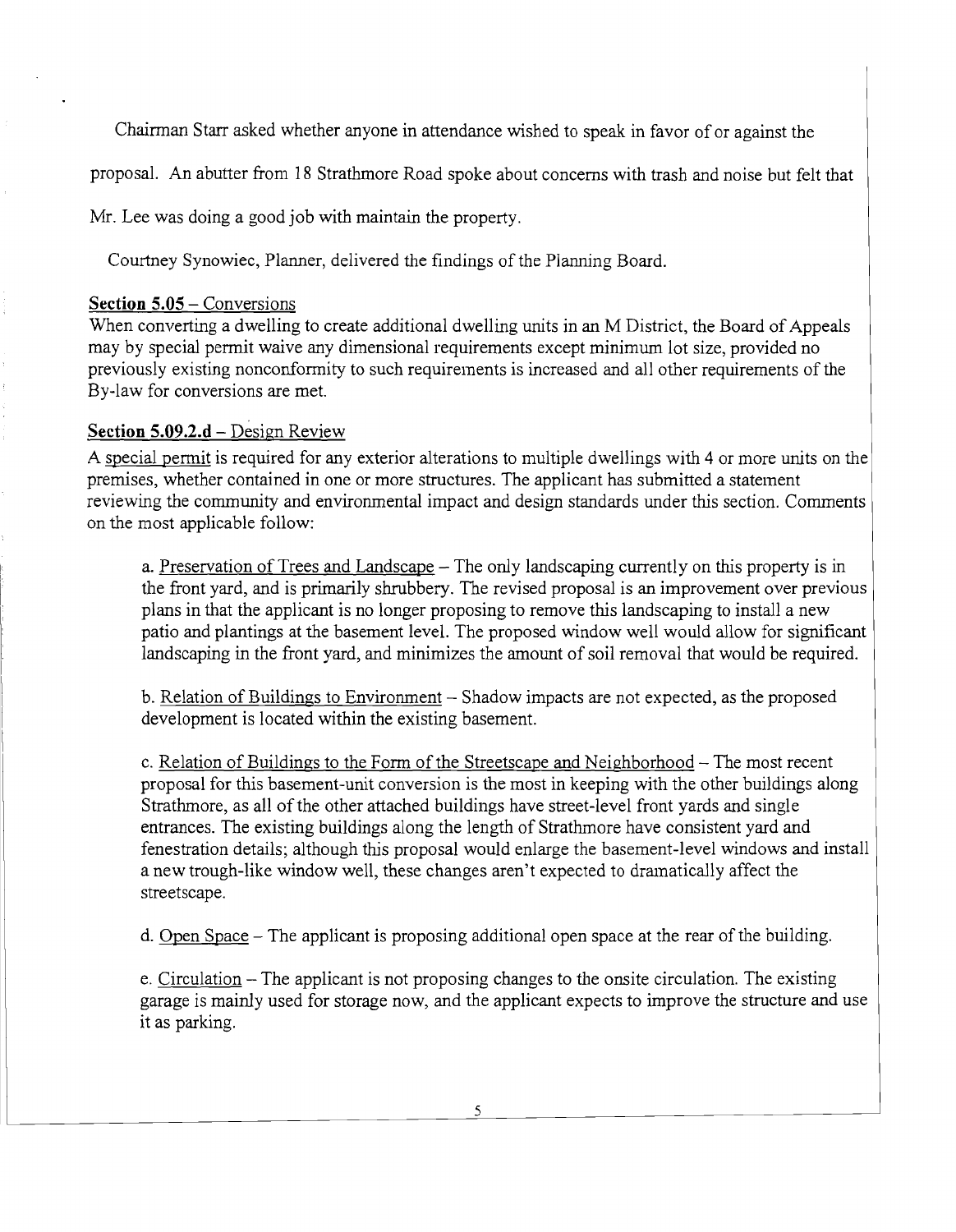Chairman Starr asked whether anyone in attendance wished to speak in favor of or against the

proposal. An abutter from 18 Strathmore Road spoke about concerns with trash and noise but felt that

Mr. Lee was doing a good job with maintain the property.

Courtney Synowiec, Planner, delivered the findings of the Planning Board.

## **Section 5.05 – Conversions**

When converting a dwelling to create additional dwelling units in an M District, the Board of Appeals may by special permit waive any dimensional requirements except minimum lot size, provided no previously existing nonconfonnity to such requirements is increased and all other requirements of the By-law for conversions are met.

# **Section 5.09.2.d** – Design Review

A special permit is required for any exterior alterations to multiple dwellings with 4 or more units on the premises, whether contained in one or more structures. The applicant has submitted a statement reviewing the community and environmental impact and design standards under this section. Comments on the most applicable follow:

a. Preservation of Trees and Landscape – The only landscaping currently on this property is in the front yard, and is primarily shrubbery. The revised proposal is an improvement over previous plans in that the applicant is no longer proposing to remove this landscaping to install a new patio and plantings at the basement level. The proposed window well would allow for significant landscaping in the front yard, and minimizes the amount of soil removal that would be required.

b. Relation of Buildings to Environment – Shadow impacts are not expected, as the proposed development is located within the existing basement.

c. Relation of Buildings to the Form of the Streetscape and Neighborhood  $-$  The most recent proposal for this basement-unit conversion is the most in keeping with the other buildings along Strathmore, as all of the other attached buildings have street-level front yards and single entrances. The existing buildings along the length of Strathmore have consistent yard and fenestration details; although this proposal would enlarge the basement-level windows and install a new trough-like window well, these changes aren't expected to dramatically affect the streetscape.

d. Open Space – The applicant is proposing additional open space at the rear of the building.

e. Circulation - The applicant is not proposing changes to the onsite circulation. The existing garage is mainly used for storage now, and the applicant expects to improve the structure and use it as parking.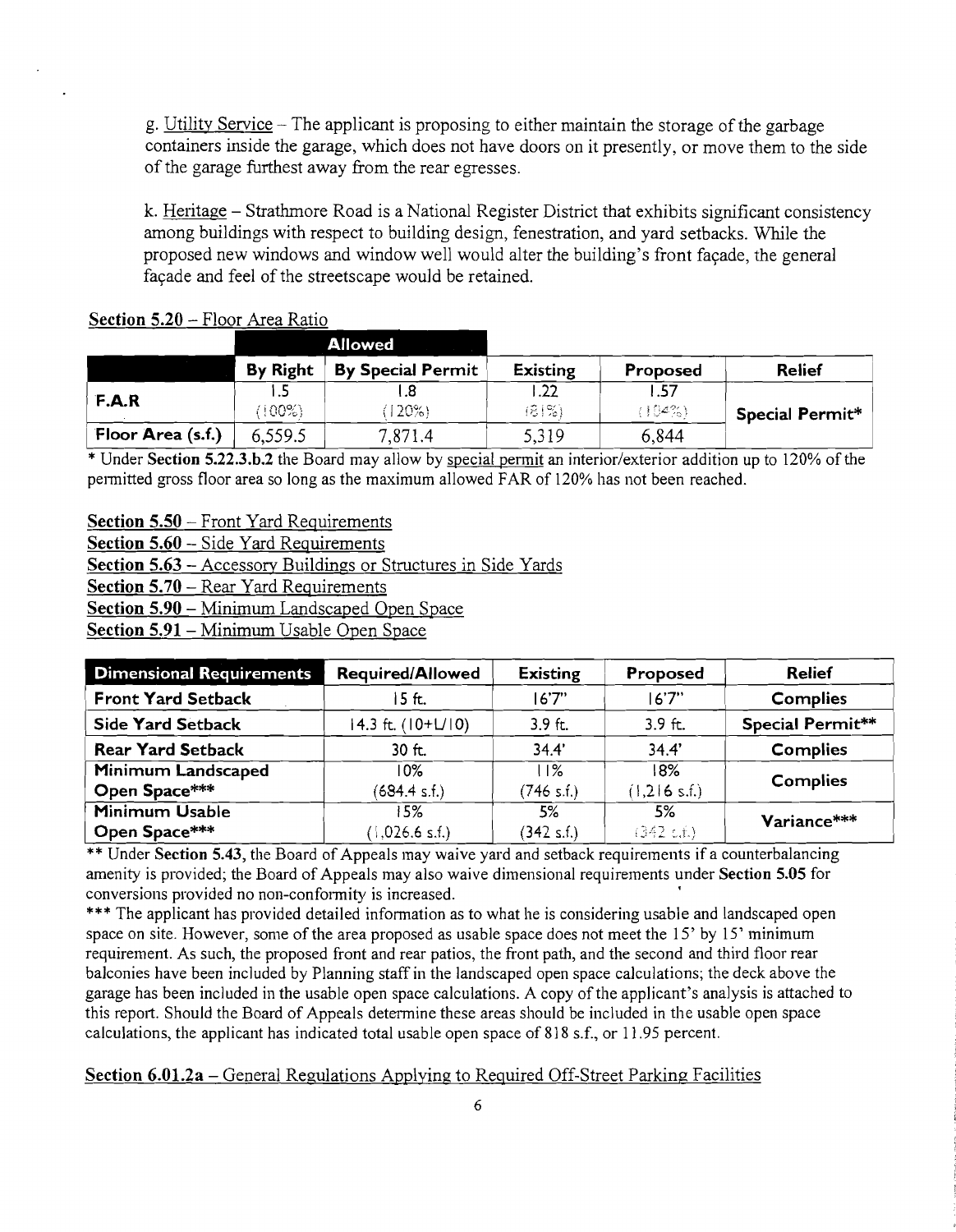g. Utility Service  $-$  The applicant is proposing to either maintain the storage of the garbage containers inside the garage, which does not have doors on it presently, or move them to the side of the garage furthest away from the rear egresses.

k. Heritage - Strathmore Road is a National Register District that exhibits significant consistency among buildings with respect to building design, fenestration, and yard setbacks. While the proposed new windows and window well would alter the building's front façade, the general façade and feel of the streetscape would be retained.

|                   |                 | <b>Allowed</b>           |                 |                |                        |
|-------------------|-----------------|--------------------------|-----------------|----------------|------------------------|
|                   | <b>By Right</b> | <b>By Special Permit</b> | <b>Existing</b> | Proposed       | <b>Relief</b>          |
| F.A.R             | $(100\%)$       | (120%)                   | .22<br>(81%)    | 1.57<br>(104%) | <b>Special Permit*</b> |
| Floor Area (s.f.) | 6,559.5         | 7,871.4                  | 5,319           | 6,844          |                        |

## Section 5.20 - Floor Area Ratio

\* Under Section 5.22.3.b.2 the Board may allow by special pennit an interior/exterior addition up to 120% of the permitted gross floor area so long as the maximum allowed FAR of 120% has not been reached.

Section 5.50 – Front Yard Requirements

Section 5.60 - Side Yard Requirements

Section 5.63 - Accessory Buildings or Structures in Side Yards

Section 5.70 – Rear Yard Requirements

Section 5.90 - Minimum Landscaped Open Space

Section 5.91- Minimum Usable Open Space

| <b>Dimensional Requirements</b> | <b>Required/Allowed</b> | <b>Existing</b> | Proposed     | <b>Relief</b>    |
|---------------------------------|-------------------------|-----------------|--------------|------------------|
| <b>Front Yard Setback</b>       | 15 ft.                  | 16'7''          | 16'7''       | <b>Complies</b>  |
| <b>Side Yard Setback</b>        | 14.3 ft. (10+L/10)      | $3.9$ ft.       | $3.9$ ft.    | Special Permit** |
| <b>Rear Yard Setback</b>        | $30$ ft.                | 34.4'           | 34.4'        | <b>Complies</b>  |
| Minimum Landscaped              | 10%                     | 11%             | 18%          | <b>Complies</b>  |
| Open Space***                   | (684.4 s.f.)            | (746 s.f.)      | (1,216 s.f.) |                  |
| <b>Minimum Usable</b>           | 15%                     | 5%              | 5%           | Variance***      |
| Open Space***                   | (1,026.6 s.f.)          | (342 s.f.)      | (342 c.f.)   |                  |

\*\* Under Section 5.43, the Board of Appeals may waive yard and setback requirements if a counterbalancing amenity is provided; the Board of Appeals may also waive dimensional requirements under Section 5.05 for conversions provided no non-conformity is increased.

\*\*\* The applicant has provided detailed information as to what he is considering usable and landscaped open space on site. However, some of the area proposed as usable space does not meet the  $15'$  by  $15'$  minimum requirement. As such, the proposed front and rear patios, the front path, and the second and third floor rear balconies have been included by Planning staff in the landscaped open space calculations; the deck above the garage has been included in the usable open space calculations. A copy of the applicant's analysis is attached to this report. Should the Board of Appeals determine these areas should be included in the usable open space calculations, the applicant has indicated total usable open space of 818 s.f., or 11.95 percent.

#### Section 6.01.2a – General Regulations Applying to Required Off-Street Parking Facilities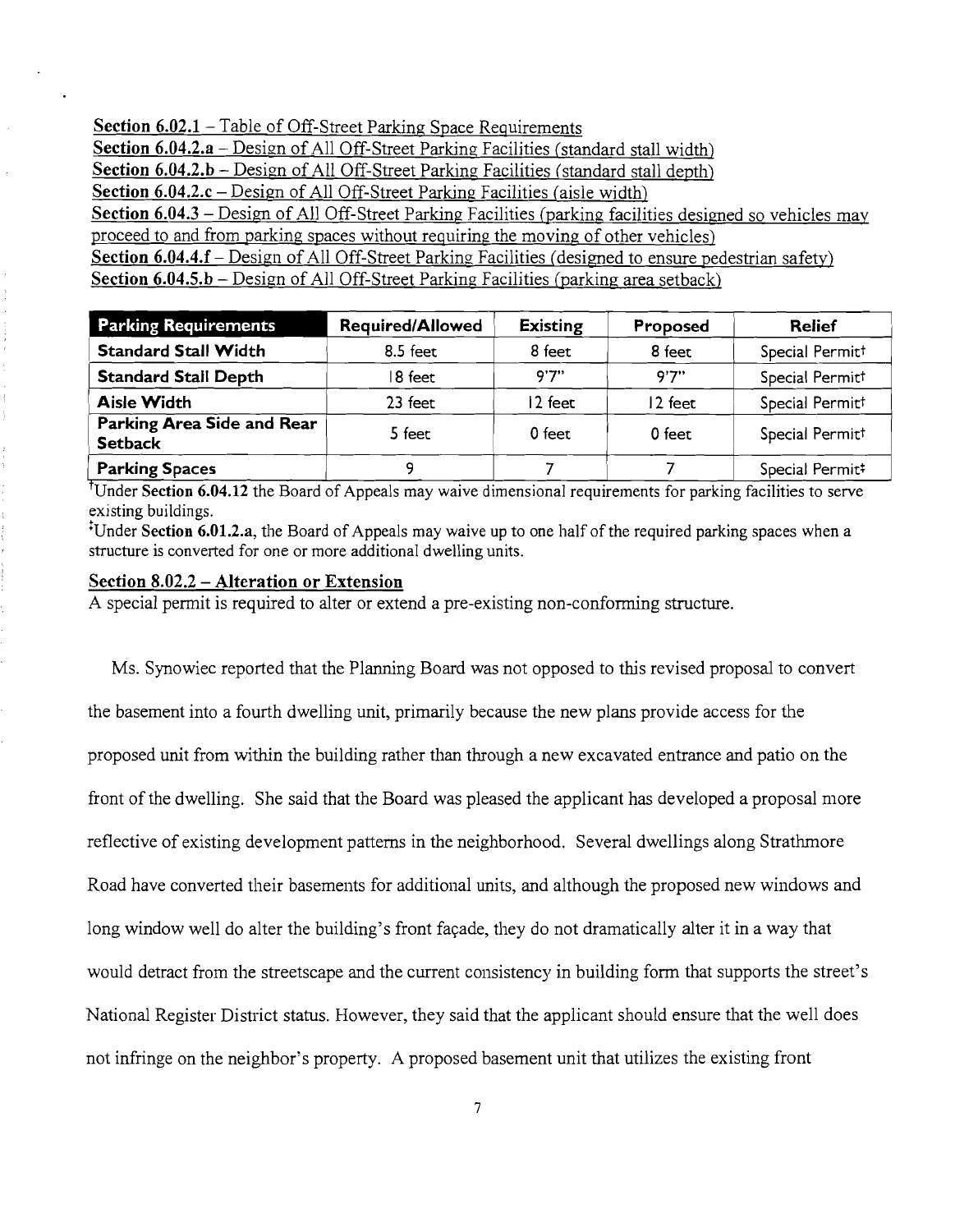Section 6.02.1 – Table of Off-Street Parking Space Requirements Section 6.04.2.a – Design of All Off-Street Parking Facilities (standard stall width) Section 6.04.2.b – Design of All Off-Street Parking Facilities (standard stall depth) Section 6.04.2.c - Design of All Off-Street Parking Facilities (aisle width) Section 6.04.3 - Design of All Off-Street Parking Facilities (parking facilities designed so vehicles may proceed to and from parking spaces without requiring the moving of other vehicles) Section 6.04.4.f – Design of All Off-Street Parking Facilities (designed to ensure pedestrian safety) Section 6.04.5.b – Design of All Off-Street Parking Facilities (parking area setback)

| <b>Parking Requirements</b>                  | <b>Required/Allowed</b> | <b>Existing</b> | Proposed | <b>Relief</b>   |
|----------------------------------------------|-------------------------|-----------------|----------|-----------------|
| <b>Standard Stall Width</b>                  | $8.5$ feet              | 8 feet          | 8 feet   | Special Permitt |
| <b>Standard Stall Depth</b>                  | 8 feet                  | 9'7''           | 9'7''    | Special Permitt |
| <b>Aisle Width</b>                           | 23 feet                 | 12 feet         | 12 feet  | Special Permitt |
| Parking Area Side and Rear<br><b>Setback</b> | 5 feet                  | 0 feet          | $0$ feet | Special Permitt |
| <b>Parking Spaces</b>                        |                         |                 |          | Special Permit# |

<sup>†</sup>Under Section 6.04.12 the Board of Appeals may waive dimensional requirements for parking facilities to serve existing buildings.

tUnder Section 6.01.2.a, the Board of Appeals may waive up to one half of the required parking spaces when a structure is converted for one or more additional dwelling units.

# Section 8.02.2 - Alteration or Extension

A special permit is required to alter or extend a pre-existing non-conforming structure.

Ms. Synowiec reported that the Planning Board was not opposed to this revised proposal to convert the basement into a fourth dwelling unit, primarily because the new plans provide access for the proposed unit from within the building rather than through a new excavated entrance and patio on the front of the dwelling. She said that the Board was pleased the applicant has developed a proposal more reflective of existing development patterns in the neighborhood. Several dwellings along Strathmore Road have converted their basements for additional units, and although the proposed new windows and long window well do alter the building's front facade, they do not dramatically alter it in a way that would detract from the streetscape and the current consistency in building form that supports the street's National Register District status. However, they said that the applicant should ensure that the well does not infringe on the neighbor's property. A proposed basement unit that utilizes the existing front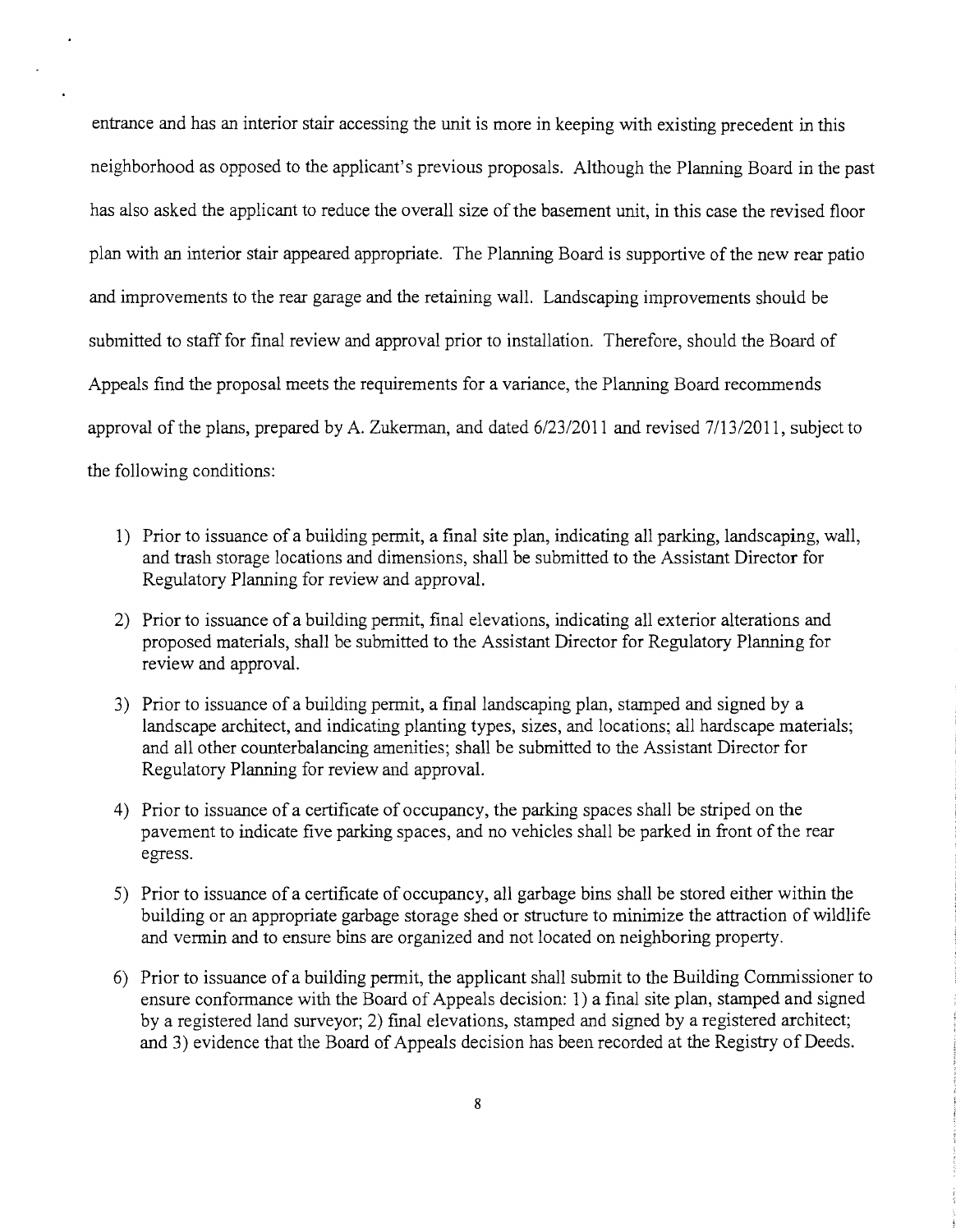entrance and has an interior stair accessing the unit is more in keeping with existing precedent in this neighborhood as opposed to the applicant's previous proposals. Although the Planning Board in the past has also asked the applicant to reduce the overall size of the basement unit, in this case the revised floor plan with an interior stair appeared appropriate. The Planning Board is supportive of the new rear patio and improvements to the rear garage and the retaining wall. Landscaping improvements should be submitted to staff for final review and approval prior to installation. Therefore, should the Board of Appeals find the proposal meets the requirements for a variance, the Planning Board recommends approval of the plans, prepared by A. Zukerman, and dated 6/23/2011 and revised 7/13/2011, subject to the following conditions:

- 1) Prior to issuance of a building permit, a final site plan, indicating all parking, landscaping, wall, and trash storage locations and dimensions, shall be submitted to the Assistant Director for Regulatory Planning for review and approval.
- 2) Prior to issuance of a building permit, final elevations, indicating all exterior alterations and proposed materials, shall be submitted to the Assistant Director for Regulatory Planning for review and approval.
- 3) Prior to issuance of a building permit, a final landscaping plan, stamped and signed by a landscape architect, and indicating planting types, sizes, and locations; all hardscape materials; and all other counterbalancing amenities; shall be submitted to the Assistant Director for Regulatory Planning for review and approval.
- 4) Prior to issuance of a certificate of occupancy, the parking spaces shall be striped on the pavement to indicate five parking spaces, and no vehicles shall be parked in front of the rear egress.
- 5) Prior to issuance of a certificate of occupancy, all garbage bins shall be stored either within the building or an appropriate garbage storage shed or structure to minimize the attraction of wildlife and vermin and to ensure bins are organized and not located on neighboring property.
- 6) Prior to issuance of a building permit, the applicant shall submit to the Building Commissioner to ensure conformance with the Board of Appeals decision: 1) a final site plan, stamped and signed by a registered land surveyor; 2) final elevations, stamped and signed by a registered architect; and 3) evidence that the Board of Appeals decision has been recorded at the Registry of Deeds.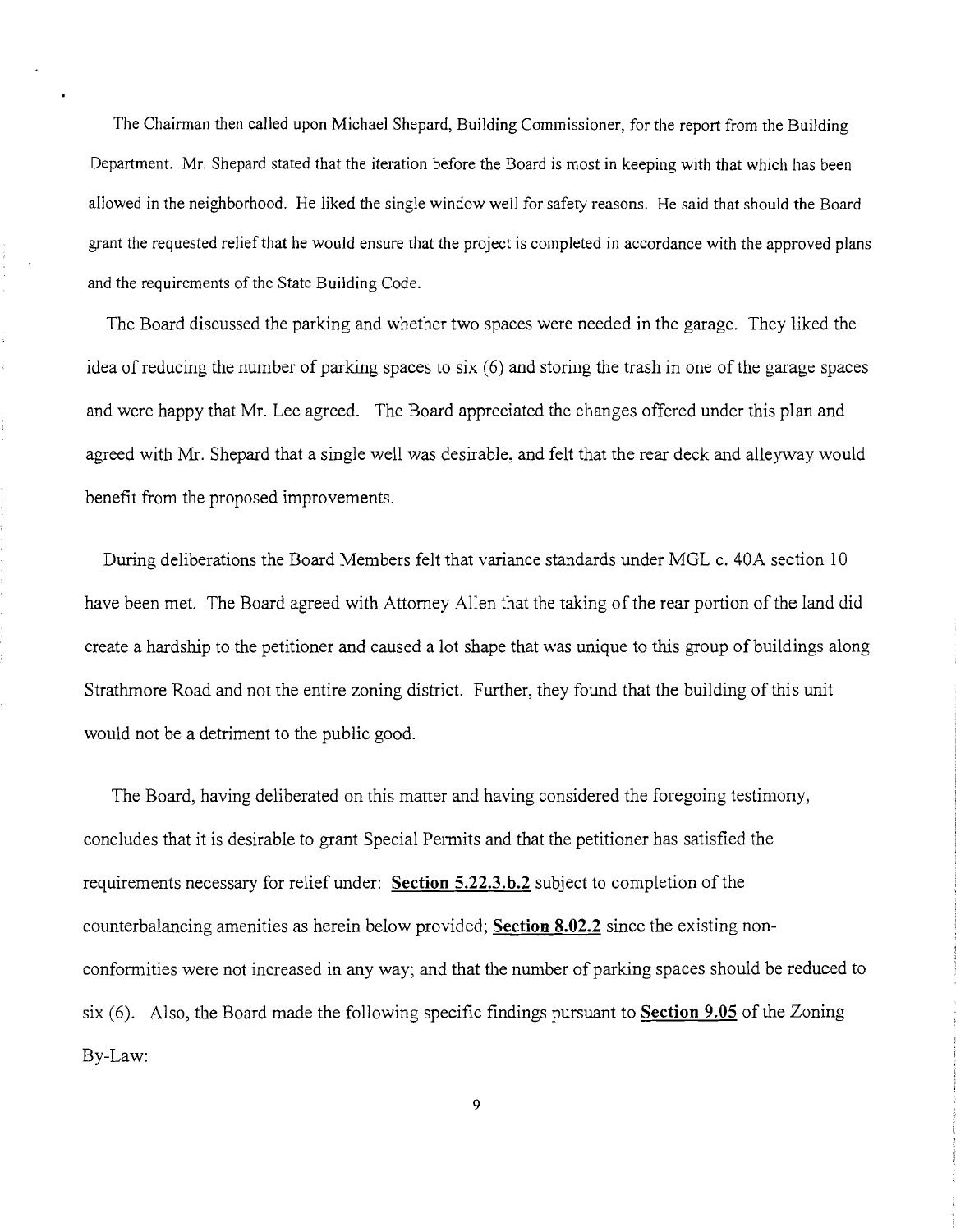The Chairman then called upon Michael Shepard, Building Commissioner, for the report from the Building Department. Mr. Shepard stated that the iteration before the Board is most in keeping with that which has been allowed in the neighborhood. He liked the single window well for safety reasons. He said that should the Board grant the requested relief that he would ensure that the project is completed in accordance with the approved plans and the requirements of the State Building Code.

The Board discussed the parking and whether two spaces were needed in the garage. They liked the idea of reducing the number of parking spaces to six (6) and storing the trash in one of the garage spaces and were happy that Mr. Lee agreed. The Board appreciated the changes offered under this plan and agreed with Mr. Shepard that a single well was desirable, and felt that the rear deck and alleyway would benefit from the proposed improvements.

During deliberations the Board Members felt that variance standards under MGL c. 40A section 10 have been met. The Board agreed with Attorney Allen that the taking of the rear portion of the land did create a hardship to the petitioner and caused a lot shape that was unique to this group of buildings along Strathmore Road and not the entire zoning district. Further, they found that the building of this unit would not be a detriment to the public good.

The Board, having deliberated on this matter and having considered the foregoing testimony, concludes that it is desirable to grant Special Permits and that the petitioner has satisfied the requirements necessary for relief under: **Section 5.22.3.b.2** subject to completion of the counterbalancing amenities as herein below provided; **Section 8.02.2** since the existing nonconformities were not increased in any way; and that the number of parking spaces should be reduced to six (6). Also, the Board made the following specific findings pursuant to **Section 9.05** of the Zoning By-Law:

9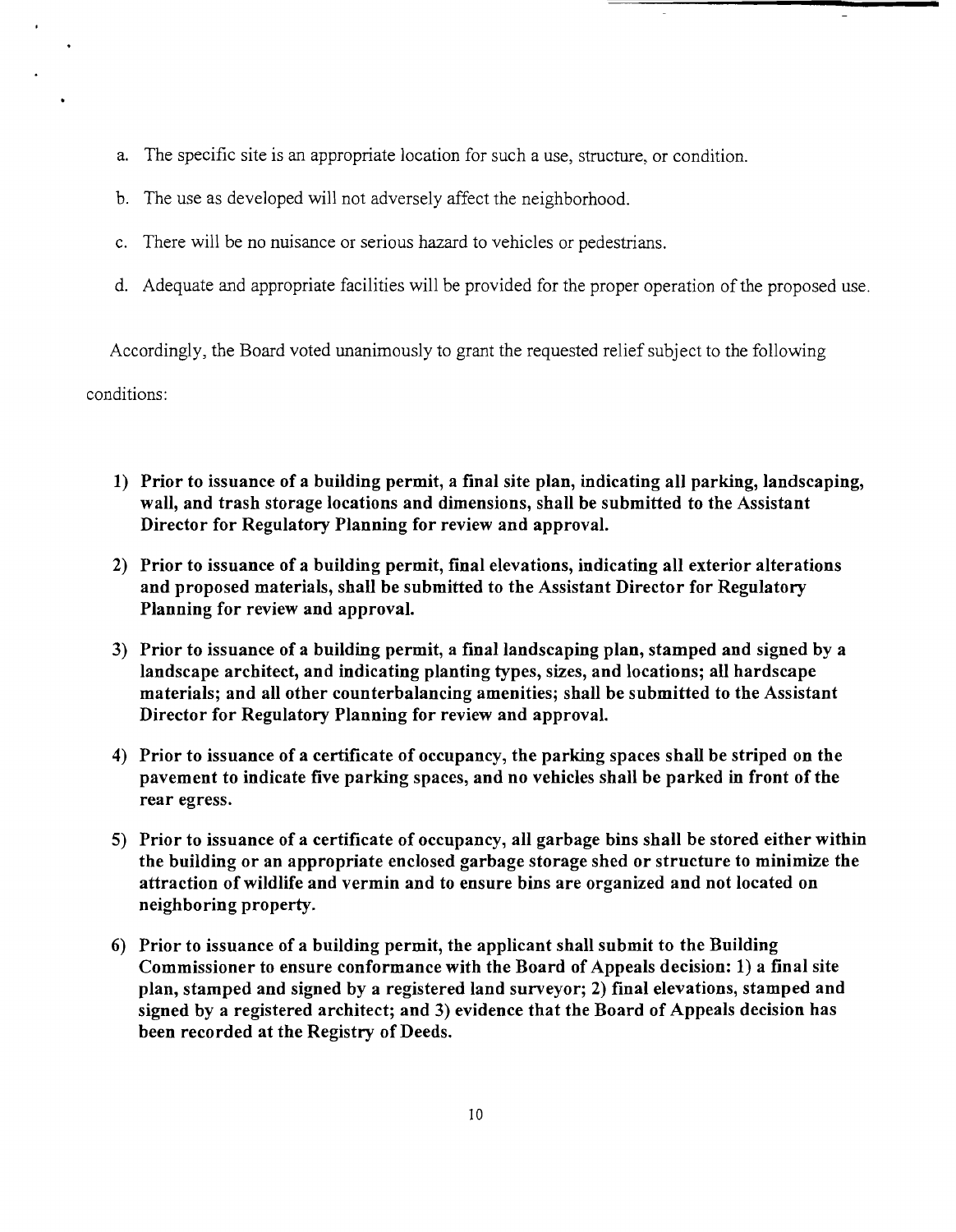- a. The specific site is an appropriate location for such a use, structure, or condition.
- b. The use as developed will not adversely affect the neighborhood.
- c. There will be no nuisance or serious hazard to vehicles or pedestrians.
- d. Adequate and appropriate facilities will be provided for the proper operation of the proposed use.

Accordingly, the Board voted unanimously to grant the requested relief subject to the following conditions:

- 1) Prior to issuance of a building permit, a final site plan, indicating all parking, landscaping, wall, and trash storage locations and dimensions, shall be submitted to the Assistant Director for Regulatory Planning for review and approval.
- 2) Prior to issuance of a building permit, final elevations, indicating all exterior alterations and proposed materials, shall be submitted to the Assistant Director for Regulatory Planning for review and approval.
- 3) Prior to issuance of a building permit, a final landscaping plan, stamped and signed by a landscape architect, and indicating planting types, sizes, and locations; all hardscape materials; and all other counterbalancing amenities; shall be submitted to the Assistant Director for Regulatory Planning for review and approval.
- 4) Prior to issuance of a certificate of occupancy, the parking spaces shall be striped on the pavement to indicate five parking spaces, and no vehicles shall be parked in front of the rear egress.
- 5) Prior to issuance of a certificate of occupancy, all garbage bins shall be stored either within the building or an appropriate enclosed garbage storage shed or structure to minimize the attraction of wildlife and vermin and to ensure bins are organized and not located on neighboring property.
- 6) Prior to issuance of a building permit, the applicant shall submit to the Building Commissioner to ensure conformance with the Board of Appeals decision: 1) a final site plan, stamped and signed by a registered land surveyor; 2) final elevations, stamped and signed by a registered architect; and 3) evidence that the Board of Appeals decision has been recorded at the Registry of Deeds.